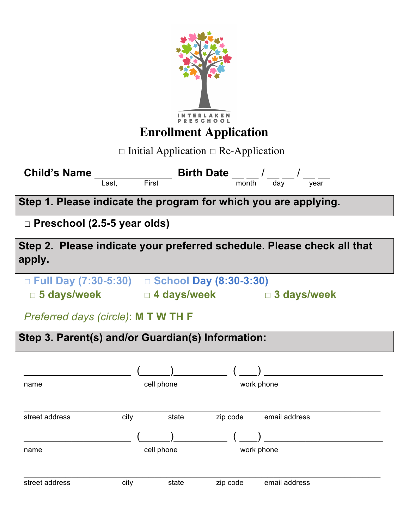| <b>Enrollment Application</b><br>$\Box$ Initial Application $\Box$ Re-Application |                                                                                                     |                                             |
|-----------------------------------------------------------------------------------|-----------------------------------------------------------------------------------------------------|---------------------------------------------|
| <b>Child's Name</b><br>Last,                                                      | $\frac{1}{\text{dist}}$ First <b>Birth Date</b> $\frac{1}{\text{month}}$ / $\frac{1}{\text{day}}$ / | year                                        |
| Step 1. Please indicate the program for which you are applying.                   |                                                                                                     |                                             |
| $\Box$ Preschool (2.5-5 year olds)                                                |                                                                                                     |                                             |
| Step 2. Please indicate your preferred schedule. Please check all that<br>apply.  |                                                                                                     |                                             |
| □ Full Day (7:30-5:30) □ School Day (8:30-3:30)                                   |                                                                                                     | □ 5 days/week  □ 4 days/week  □ 3 days/week |
| Preferred days (circle): M T W TH F                                               |                                                                                                     |                                             |
| Step 3. Parent(s) and/or Guardian(s) Information:                                 |                                                                                                     |                                             |
|                                                                                   |                                                                                                     |                                             |
| name                                                                              | cell phone                                                                                          | work phone                                  |
| city<br>street address                                                            | state                                                                                               | zip code<br>email address                   |
| name                                                                              | cell phone                                                                                          | work phone                                  |
| street address<br>city                                                            | state                                                                                               | email address<br>zip code                   |